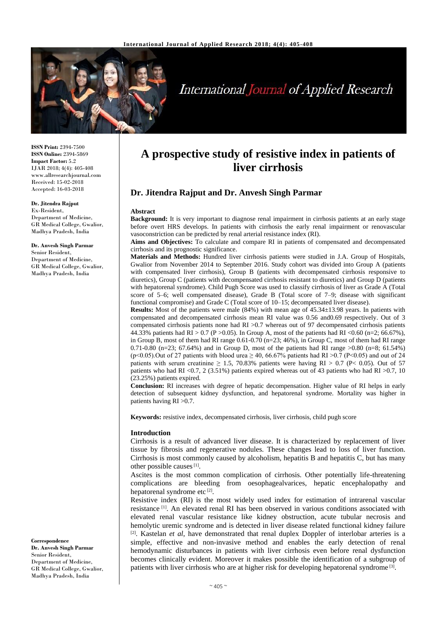

# **International Journal of Applied Research**

**ISSN Print:** 2394-7500 **ISSN Online:** 2394-5869 **Impact Factor:** 5.2 IJAR 2018; 4(4): 405-408 www.allresearchjournal.com Received: 15-02-2018 Accepted: 16-03-2018

#### **Dr. Jitendra Rajput**

Ex-Resident, Department of Medicine, GR Medical College, Gwalior, Madhya Pradesh, India

#### **Dr. Anvesh Singh Parmar** Senior Resident,

Department of Medicine, GR Medical College, Gwalior, Madhya Pradesh, India

**Correspondence Dr. Anvesh Singh Parmar** Senior Resident, Department of Medicine, GR Medical College, Gwalior, Madhya Pradesh, India

# **A prospective study of resistive index in patients of liver cirrhosis**

# **Dr. Jitendra Rajput and Dr. Anvesh Singh Parmar**

#### **Abstract**

**Background:** It is very important to diagnose renal impairment in cirrhosis patients at an early stage before overt HRS develops. In patients with cirrhosis the early renal impairment or renovascular vasoconstriction can be predicted by renal arterial resistance index (RI).

**Aims and Objectives:** To calculate and compare RI in patients of compensated and decompensated cirrhosis and its prognostic significance.

**Materials and Methods:** Hundred liver cirrhosis patients were studied in J.A. Group of Hospitals, Gwalior from November 2014 to September 2016. Study cohort was divided into Group A (patients with compensated liver cirrhosis), Group B (patients with decompensated cirrhosis responsive to diuretics), Group C (patients with decompensated cirrhosis resistant to diuretics) and Group D (patients with hepatorenal syndrome). Child Pugh Score was used to classify cirrhosis of liver as Grade A (Total score of 5–6; well compensated disease), Grade B (Total score of 7–9; disease with significant functional compromise) and Grade C (Total score of 10–15; decompensated liver disease).

**Results:** Most of the patients were male (84%) with mean age of 45.34±13.98 years. In patients with compensated and decompensated cirrhosis mean RI value was 0.56 and0.69 respectively. Out of 3 compensated cirrhosis patients none had RI >0.7 whereas out of 97 decompensated cirrhosis patients 44.33% patients had RI > 0.7 (P > 0.05). In Group A, most of the patients had RI <0.60 (n=2; 66.67%), in Group B, most of them had RI range 0.61-0.70 (n=23; 46%), in Group C, most of them had RI range 0.71-0.80 (n=23; 67.64%) and in Group D, most of the patients had RI range  $>0.80$  (n=8; 61.54%) (p<0.05). Out of 27 patients with blood urea  $\geq$  40, 66.67% patients had RI >0.7 (P<0.05) and out of 24 patients with serum creatinine  $\geq 1.5$ , 70.83% patients were having RI  $> 0.7$  (P< 0.05). Out of 57 patients who had RI <0.7, 2 (3.51%) patients expired whereas out of 43 patients who had RI >0.7, 10 (23.25%) patients expired.

**Conclusion:** RI increases with degree of hepatic decompensation. Higher value of RI helps in early detection of subsequent kidney dysfunction, and hepatorenal syndrome. Mortality was higher in patients having RI >0.7.

**Keywords:** resistive index, decompensated cirrhosis, liver cirrhosis, child pugh score

#### **Introduction**

Cirrhosis is a result of advanced liver disease. It is characterized by replacement of liver tissue by fibrosis and regenerative nodules. These changes lead to loss of liver function. Cirrhosis is most commonly caused by alcoholism, hepatitis B and hepatitis C, but has many other possible causes<sup>[1]</sup>.

Ascites is the most common complication of cirrhosis. Other potentially life-threatening complications are bleeding from oesophagealvarices, hepatic encephalopathy and hepatorenal syndrome etc<sup>[2]</sup>.

Resistive index (RI) is the most widely used index for estimation of intrarenal vascular resistance [1] . An elevated renal RI has been observed in various conditions associated with elevated renal vascular resistance like kidney obstruction, acute tubular necrosis and hemolytic uremic syndrome and is detected in liver disease related functional kidney failure <sup>[2]</sup>. Kastelan *et al*, have demonstrated that renal duplex Doppler of interlobar arteries is a simple, effective and non-invasive method and enables the early detection of renal hemodynamic disturbances in patients with liver cirrhosis even before renal dysfunction becomes clinically evident. Moreover it makes possible the identification of a subgroup of patients with liver cirrhosis who are at higher risk for developing hepatorenal syndrome<sup>[3]</sup>.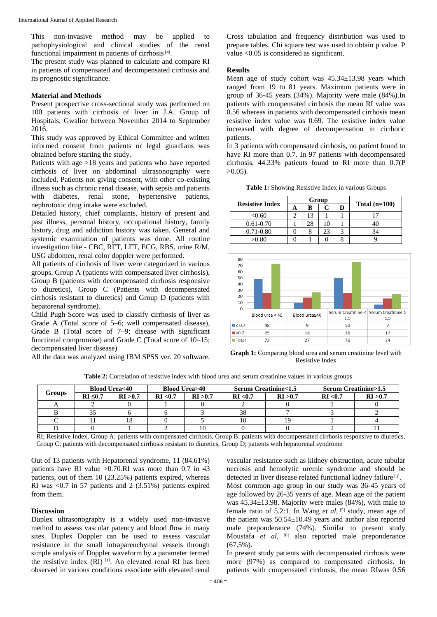This non-invasive method may be applied to pathophysiological and clinical studies of the renal functional impairment in patients of cirrhosis<sup>[4]</sup>.

The present study was planned to calculate and compare RI in patients of compensated and decompensated cirrhosis and its prognostic significance.

#### **Material and Methods**

Present prospective cross-sectional study was performed on 100 patients with cirrhosis of liver in J.A. Group of Hospitals, Gwalior between November 2014 to September 2016.

This study was approved by Ethical Committee and written informed consent from patients or legal guardians was obtained before starting the study.

Patients with age >18 years and patients who have reported cirrhosis of liver on abdominal ultrasonography were included. Patients not giving consent, with other co-existing illness such as chronic renal disease, with sepsis and patients with diabetes, renal stone, hypertensive patients, nephrotoxic drug intake were excluded.

Detailed history, chief complaints, history of present and past illness, personal history, occupational history, family history, drug and addiction history was taken. General and systemic examination of patients was done. All routine investigation like - CBC, RFT, LFT, ECG, RBS, urine R/M, USG abdomen, renal color doppler were performed.

All patients of cirrhosis of liver were categorized in various groups, Group A (patients with compensated liver cirrhosis), Group B (patients with decompensated cirrhosis responsive to diuretics), Group C (Patients with decompensated cirrhosis resistant to diuretics) and Group D (patients with hepatorenal syndrome).

Child Pugh Score was used to classify cirrhosis of liver as Grade A (Total score of 5–6; well compensated disease), Grade B (Total score of 7–9; disease with significant functional compromise) and Grade C (Total score of 10–15; decompensated liver disease)

All the data was analyzed using IBM SPSS ver. 20 software.

Cross tabulation and frequency distribution was used to prepare tables. Chi square test was used to obtain p value. P value <0.05 is considered as significant.

#### **Results**

Mean age of study cohort was  $45.34 \pm 13.98$  years which ranged from 19 to 81 years. Maximum patients were in group of 36-45 years (34%). Majority were male (84%).In patients with compensated cirrhosis the mean RI value was 0.56 whereas in patients with decompensated cirrhosis mean resistive index value was 0.69. The resistive index value increased with degree of decompensation in cirrhotic patients.

In 3 patients with compensated cirrhosis, no patient found to have RI more than 0.7. In 97 patients with decompensated cirrhosis, 44.33% patients found to RI more than 0.7(P  $>0.05$ ).

**Table 1:** Showing Resistive Index in various Groups

| <b>Resistive Index</b> |   |    | Group | Total $(n=100)$ |    |
|------------------------|---|----|-------|-----------------|----|
|                        | A | в  |       | D               |    |
| < 0.60                 |   |    |       |                 |    |
| $0.61 - 0.70$          |   | 28 |       |                 |    |
| $0.71 - 0.80$          |   |    | 23    |                 | 34 |
| >0.80                  |   |    |       |                 |    |



**Graph 1:** Comparing blood urea and serum creatinine level with Resistive Index

**Table 2:** Correlation of resistive index with blood urea and serum creatinine values in various groups

| Groups | <b>Blood Urea&lt;40</b> |          | <b>Blood Urea&gt;40</b> |          | <b>Serum Creatinine&lt;1.5</b> |          | <b>Serum Creatinine&gt;1.5</b> |          |
|--------|-------------------------|----------|-------------------------|----------|--------------------------------|----------|--------------------------------|----------|
|        | $RI \leq 0.7$           | RI > 0.7 | RI < 0.7                | RI > 0.7 | RI < 0.7                       | RI > 0.7 | RI < 0.7                       | RI > 0.7 |
|        |                         |          |                         |          |                                |          |                                |          |
|        |                         |          |                         |          | 38                             |          |                                |          |
|        |                         | 18       |                         |          | 10                             |          |                                |          |
|        |                         |          |                         |          |                                |          |                                |          |

RI; Resistive Index, Group A; patients with compensated cirrhosis, Group B; patients with decompensated cirrhosis responsive to diuretics, Group C; patients with decompensated cirrhosis resistant to diuretics, Group D; patients with hepatorenal syndrome

Out of 13 patients with Hepatorenal syndrome, 11 (84.61%) patients have RI value >0.70.RI was more than 0.7 in 43 patients, out of them 10 (23.25%) patients expired, whereas RI was  $\langle 0.7 \rangle$  in 57 patients and 2 (3.51%) patients expired from them.

#### **Discussion**

Duplex ultrasonography is a widely used non-invasive method to assess vascular patency and blood flow in many sites. Duplex Doppler can be used to assess vascular resistance in the small intraparenchymal vessels through simple analysis of Doppler waveform by a parameter termed the resistive index (RI) [1] . An elevated renal RI has been observed in various conditions associate with elevated renal

vascular resistance such as kidney obstruction, acute tubular necrosis and hemolytic uremic syndrome and should be detected in liver disease related functional kidney failure<sup>[3]</sup>.

Most common age group in our study was 36-45 years of age followed by 26-35 years of age. Mean age of the patient was 45.34±13.98. Majority were males (84%), with male to female ratio of 5.2:1. In Wang et al, [5] study, mean age of the patient was 50.54±10.49 years and author also reported male preponderance (74%). Similar to present study Moustafa *et al*, [6] also reported male preponderance (67.5%).

In present study patients with decompensated cirrhosis were more (97%) as compared to compensated cirrhosis. In patients with compensated cirrhosis, the mean RIwas 0.56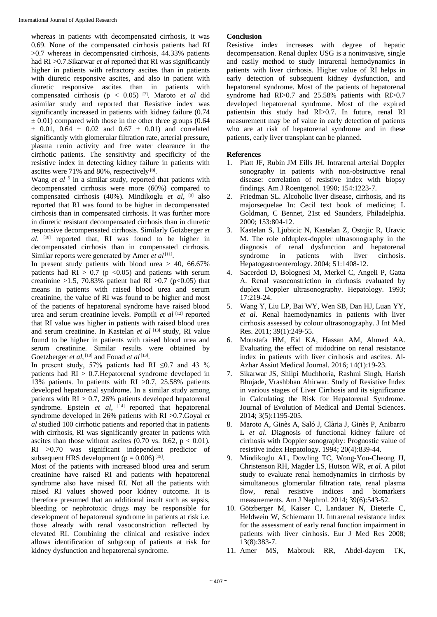whereas in patients with decompensated cirrhosis, it was 0.69. None of the compensated cirrhosis patients had RI  $>0.7$  whereas in decompensated cirrhosis, 44.33% patients had RI >0.7.Sikarwar *et al* reported that RI was significantly higher in patients with refractory ascites than in patients with diuretic responsive ascites, and also in patient with diuretic responsive ascites than in patients with compensated cirrhosis (p < 0.05) [7] . Maroto *et al* did asimilar study and reported that Resistive index was significantly increased in patients with kidney failure (0.74  $\pm$  0.01) compared with those in the other three groups (0.64  $\pm$  0.01, 0.64  $\pm$  0.02 and 0.67  $\pm$  0.01) and correlated significantly with glomerular filtration rate, arterial pressure, plasma renin activity and free water clearance in the cirrhotic patients. The sensitivity and specificity of the resistive index in detecting kidney failure in patients with ascites were 71% and 80%, respectively [8].

Wang *et al* <sup>5</sup> in a similar study, reported that patients with decompensated cirrhosis were more (60%) compared to compensated cirrhosis (40%). Mindikoglu *et al*, [9] also reported that RI was found to be higher in decompensated cirrhosis than in compensated cirrhosis. It was further more in diuretic resistant decompensated cirrhosis than in diuretic responsive decompensated cirrhosis. Similarly Gotzberger *et al*. [10] reported that, RI was found to be higher in decompensated cirrhosis than in compensated cirrhosis. Similar reports were generated by Amer et al<sup>[11]</sup>.

In present study patients with blood urea  $> 40$ , 66.67% patients had  $RI > 0.7$  (p <0.05) and patients with serum creatinine >1.5, 70.83% patient had RI >0.7 (p<0.05) that means in patients with raised blood urea and serum creatinine, the value of RI was found to be higher and most of the patients of hepatorenal syndrome have raised blood urea and serum creatinine levels. Pompili *et al* [12] reported that RI value was higher in patients with raised blood urea and serum creatinine. In Kastelan *et al* [13] study, RI value found to be higher in patients with raised blood urea and serum creatinine. Similar results were obtained by Goetzberger *et al*, [10] and Fouad *et al* [13].

In present study, 57% patients had RI  $\leq 0.7$  and 43 % patients had  $RI > 0.7$ . Hepatorenal syndrome developed in 13% patients. In patients with RI  $>0.7$ , 25.58% patients developed hepatorenal syndrome. In a similar study among patients with  $RI > 0.7$ , 26% patients developed hepatorenal syndrome. Epstein et al, <sup>[14]</sup> reported that hepatorenal syndrome developed in 26% patients with RI >0.7.Goyal *et al* studied 100 cirrhotic patients and reported that in patients with cirrhosis, RI was significantly greater in patients with ascites than those without ascites (0.70 vs. 0.62,  $p < 0.01$ ). RI >0.70 was significant independent predictor of subsequent HRS development ( $p = 0.006$ )<sup>[15]</sup>.

Most of the patients with increased blood urea and serum creatinine have raised RI and patients with hepatorenal syndrome also have raised RI. Not all the patients with raised RI values showed poor kidney outcome. It is therefore presumed that an additional insult such as sepsis, bleeding or nephrotoxic drugs may be responsible for development of hepatorenal syndrome in patients at risk i.e. those already with renal vasoconstriction reflected by elevated RI. Combining the clinical and resistive index allows identification of subgroup of patients at risk for kidney dysfunction and hepatorenal syndrome.

### **Conclusion**

Resistive index increases with degree of hepatic decompensation. Renal duplex USG is a noninvasive, single and easily method to study intrarenal hemodynamics in patients with liver cirrhosis. Higher value of RI helps in early detection of subsequent kidney dysfunction, and hepatorenal syndrome. Most of the patients of hepatorenal syndrome had RI>0.7 and 25.58% patients with RI>0.7 developed hepatorenal syndrome. Most of the expired patientsin this study had RI>0.7. In future, renal RI measurement may be of value in early detection of patients who are at risk of hepatorenal syndrome and in these patients, early liver transplant can be planned.

## **References**

- 1. Platt JF, Rubin JM Eills JH. Intrarenal arterial Doppler sonography in patients with non-obstructive renal disease: correlation of resistive index with biopsy findings. Am J Roentgenol. 1990; 154:1223-7.
- 2. Friedman SL. Alcoholic liver disease, cirrhosis, and its majorsequelae In: Cecil text book of medicine; L Goldman, C Bennet, 21st ed Saunders, Philadelphia. 2000; 153:804-12.
- 3. Kastelan S, Ljubicic N, Kastelan Z, Ostojic R, Uravic M. The role ofduplex-doppler ultrasonography in the diagnosis of renal dysfunction and hepatorenal syndrome in patients with liver cirrhosis. Hepatogastroenterology. 2004; 51:1408-12.
- 4. Sacerdoti D, Bolognesi M, Merkel C, Angeli P, Gatta A. Renal vasoconstriction in cirrhosis evaluated by duplex Doppler ultrasonography. Hepatology. 1993; 17:219-24.
- 5. Wang Y, Liu LP, Bai WY, Wen SB, Dan HJ, Luan YY, *et al*. Renal haemodynamics in patients with liver cirrhosis assessed by colour ultrasonography. J Int Med Res. 2011; 39(1):249-55.
- 6. Moustafa HM, Eid KA, Hassan AM, Ahmed AA. Evaluating the effect of midodrine on renal resistance index in patients with liver cirrhosis and ascites. Al-Azhar Assiut Medical Journal. 2016; 14(1):19-23.
- 7. Sikarwar JS, Shilpi Muchhoria, Rashmi Singh, Harish Bhujade, Vrashbhan Ahirwar. Study of Resistive Index in various stages of Liver Cirrhosis and its significance in Calculating the Risk for Hepatorenal Syndrome. Journal of Evolution of Medical and Dental Sciences. 2014; 3(5):1195-205.
- 8. Maroto A, Ginès A, Saló J, Clària J, Ginès P, Anibarro L *et al*. Diagnosis of functional kidney failure of cirrhosis with Doppler sonography: Prognostic value of resistive index Hepatology. 1994; 20(4):839-44.
- 9. Mindikoglu AL, Dowling TC, Wong-You-Cheong JJ, Christenson RH, Magder LS, Hutson WR, *et al*. A pilot study to evaluate renal hemodynamics in cirrhosis by simultaneous glomerular filtration rate, renal plasma flow, renal resistive indices and biomarkers measurements. Am J Nephrol. 2014; 39(6):543-52.
- 10. Götzberger M, Kaiser C, Landauer N, Dieterle C, Heldwein W, Schiemann U. Intrarenal resistance index for the assessment of early renal function impairment in patients with liver cirrhosis. Eur J Med Res 2008; 13(8):383-7.
- 11. Amer MS, Mabrouk RR, Abdel-dayem TK,